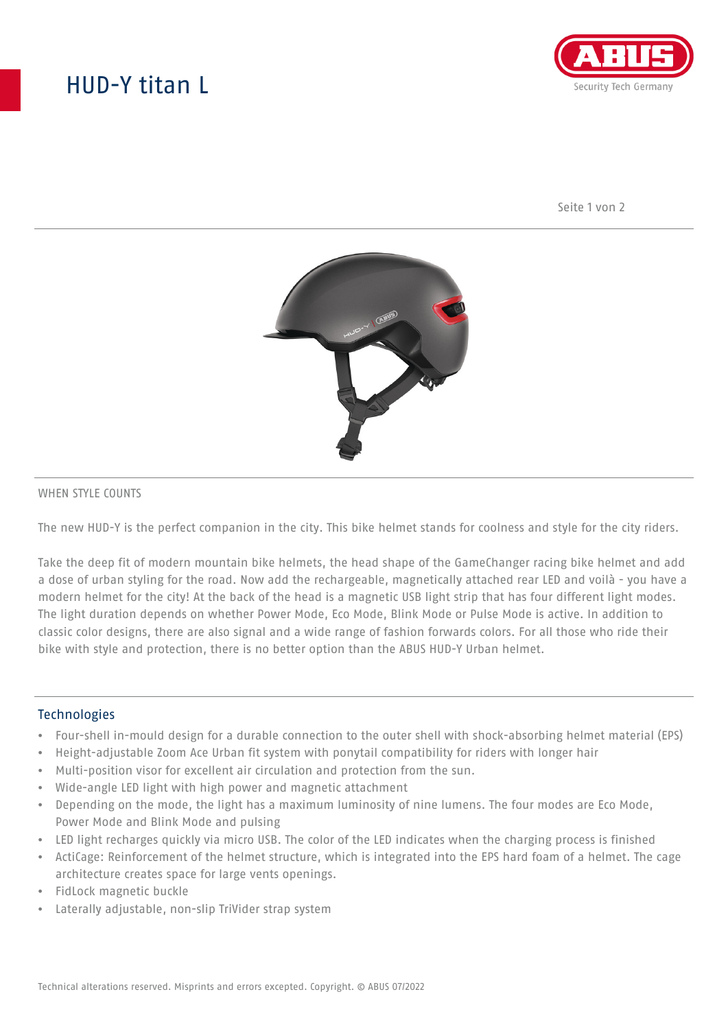# HUD-Y titan L



Seite 1 von 2



#### WHEN STYLE COUNTS

The new HUD-Y is the perfect companion in the city. This bike helmet stands for coolness and style for the city riders.

Take the deep fit of modern mountain bike helmets, the head shape of the GameChanger racing bike helmet and add a dose of urban styling for the road. Now add the rechargeable, magnetically attached rear LED and voilà - you have a modern helmet for the city! At the back of the head is a magnetic USB light strip that has four different light modes. The light duration depends on whether Power Mode, Eco Mode, Blink Mode or Pulse Mode is active. In addition to classic color designs, there are also signal and a wide range of fashion forwards colors. For all those who ride their bike with style and protection, there is no better option than the ABUS HUD-Y Urban helmet.

#### **Technologies**

- Four-shell in-mould design for a durable connection to the outer shell with shock-absorbing helmet material (EPS)
- Height-adjustable Zoom Ace Urban fit system with ponytail compatibility for riders with longer hair
- Multi-position visor for excellent air circulation and protection from the sun.
- Wide-angle LED light with high power and magnetic attachment
- Depending on the mode, the light has a maximum luminosity of nine lumens. The four modes are Eco Mode, Power Mode and Blink Mode and pulsing
- LED light recharges quickly via micro USB. The color of the LED indicates when the charging process is finished
- ActiCage: Reinforcement of the helmet structure, which is integrated into the EPS hard foam of a helmet. The cage architecture creates space for large vents openings.
- FidLock magnetic buckle
- Laterally adjustable, non-slip TriVider strap system